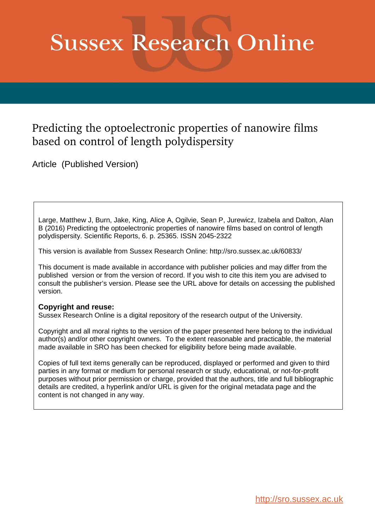## **Sussex Research Online**

### Predicting the optoelectronic properties of nanowire films based on control of length polydispersity

Article (Published Version)

Large, Matthew J, Burn, Jake, King, Alice A, Ogilvie, Sean P, Jurewicz, Izabela and Dalton, Alan B (2016) Predicting the optoelectronic properties of nanowire films based on control of length polydispersity. Scientific Reports, 6. p. 25365. ISSN 2045-2322

This version is available from Sussex Research Online: http://sro.sussex.ac.uk/60833/

This document is made available in accordance with publisher policies and may differ from the published version or from the version of record. If you wish to cite this item you are advised to consult the publisher's version. Please see the URL above for details on accessing the published version.

#### **Copyright and reuse:**

Sussex Research Online is a digital repository of the research output of the University.

Copyright and all moral rights to the version of the paper presented here belong to the individual author(s) and/or other copyright owners. To the extent reasonable and practicable, the material made available in SRO has been checked for eligibility before being made available.

Copies of full text items generally can be reproduced, displayed or performed and given to third parties in any format or medium for personal research or study, educational, or not-for-profit purposes without prior permission or charge, provided that the authors, title and full bibliographic details are credited, a hyperlink and/or URL is given for the original metadata page and the content is not changed in any way.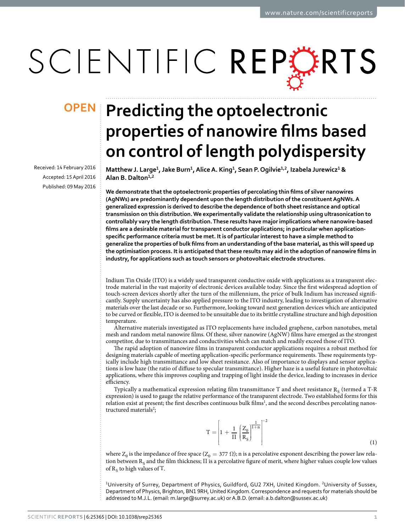# SCIENTIFIC REPERTS

Received: 14 February 2016 Accepted: 15 April 2016 Published: 09 May 2016

## **predicting the optoelectronic opeN**properties of nanowire films based **on control of length polydispersity**

<span id="page-1-0"></span>**Matthew J. Large<sup>1</sup> , Jake Burn<sup>1</sup> , Alice A. King<sup>1</sup> , sean p. ogilvie<sup>1</sup>,<sup>2</sup> , Izabela Jurewicz<sup>1</sup> & Alan B. Dalton<sup>1</sup>,<sup>2</sup>**

We demonstrate that the optoelectronic properties of percolating thin films of silver nanowires **(AgNWs) are predominantly dependent upon the length distribution of the constituent AgNWs. A generalized expression is derived to describe the dependence of both sheet resistance and optical transmission on this distribution. We experimentally validate the relationship using ultrasonication to controllably vary the length distribution. These results have major implications where nanowire-based**  films are a desirable material for transparent conductor applications; in particular when application**speciic performance criteria must be met. It is of particular interest to have a simple method to generalize the properties of bulk ilms from an understanding of the base material, as this will speed up**  the optimisation process. It is anticipated that these results may aid in the adoption of nanowire films in **industry, for applications such as touch sensors or photovoltaic electrode structures.**

Indium Tin Oxide (ITO) is a widely used transparent conductive oxide with applications as a transparent electrode material in the vast majority of electronic devices available today. Since the irst widespread adoption of touch-screen devices shortly ater the turn of the millennium, the price of bulk Indium has increased signiicantly. Supply uncertainty has also applied pressure to the ITO industry, leading to investigation of alternative materials over the last decade or so. Furthermore, looking toward next generation devices which are anticipated to be curved or lexible, ITO is deemed to be unsuitable due to its brittle crystalline structure and high deposition temperature.

Alternative materials investigated as ITO replacements have included graphene, carbon nanotubes, metal mesh and random metal nanowire films. Of these, silver nanowire (AgNW) films have emerged as the strongest competitor, due to transmittances and conductivities which can match and readily exceed those of ITO.

The rapid adoption of nanowire films in transparent conductor applications requires a robust method for designing materials capable of meeting application-specific performance requirements. These requirements typically include high transmittance and low sheet resistance. Also of importance to displays and sensor applications is low haze (the ratio of difuse to specular transmittance). Higher haze is a useful feature in photovoltaic applications, where this improves coupling and trapping of light inside the device, leading to increases in device efficiency.

Typically a mathematical expression relating film transmittance T and sheet resistance  $\mathrm R_\mathrm S$  (termed a T-R expression) is used to gauge the relative performance of the transparent electrode. Two established forms for this relation exist at present; the first describes continuous bulk films<sup>[1](#page-5-0)</sup>, and the second describes percolating nanos-tructured materials<sup>[2](#page-5-1)</sup>;

$$
T = \left[1 + \frac{1}{\Pi} \left(\frac{Z_0}{R_S}\right)^{\frac{1}{1+n}}\right]^{-2}
$$
\n(1)

where  $Z_0$  is the impedance of free space ( $Z_0=377\ \Omega$ ); n is a percolative exponent describing the power law relation between  $R_S$  and the film thickness;  $\Pi$  is a percolative figure of merit, where higher values couple low values of  $R<sub>S</sub>$  to high values of T.

<sup>1</sup>University of Surrey, Department of Physics, Guildford, GU2 7XH, United Kingdom. <sup>2</sup>University of Sussex, Department of Physics, Brighton, BN1 9RH, United Kingdom. Correspondence and requests for materials should be addressed to M.J.L. (email: [m.large@surrey.ac.uk](mailto:m.large@surrey.ac.uk)) or A.B.D. (email: [a.b.dalton@sussex.ac.uk](mailto:a.b.dalton@sussex.ac.uk))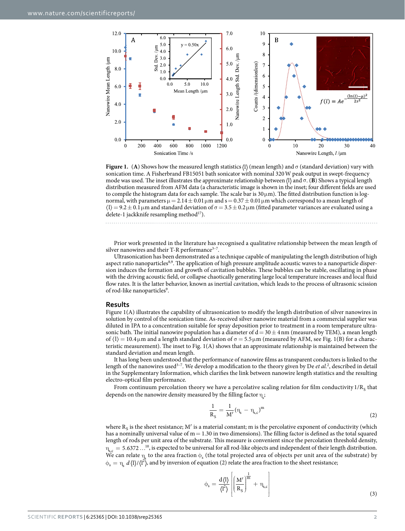

<span id="page-2-0"></span>**Figure 1.** (**A**) Shows how the measured length statistics (1) (mean length) and  $\sigma$  (standard deviation) vary with sonication time. A Fisherbrand FB15051 bath sonicator with nominal 320 W peak output in swept-frequency mode was used. The inset illustrates the approximate relationship between (l) and σ. (**B**) Shows a typical length distribution measured from AFM data (a characteristic image is shown in the inset; four diferent ields are used to compile the histogram data for each sample. The scale bar is  $30 \mu m$ ). The fitted distribution function is lognormal, with parameters  $\mu = 2.14 \pm 0.01 \,\mu$ m and s = 0.37  $\pm$  0.01  $\mu$ m which correspond to a mean length of  $\langle l \rangle = 9.2 \pm 0.1 \,\mu$ m and standard deviation of  $\sigma = 3.5 \pm 0.2 \,\mu$ m (fitted parameter variances are evaluated using a delete-1 jackknife resampling method<sup>[17](#page-5-6)</sup>).

Prior work presented in the literature has recognised a qualitative relationship between the mean length of silver nanowires and their T-R performance<sup>3-7</sup>.

Ultrasonication has been demonstrated as a technique capable of manipulating the length distribution of high aspect ratio nanoparticles<sup>[8](#page-5-3),[9](#page-5-4)</sup>. The application of high pressure amplitude acoustic waves to a nanoparticle dispersion induces the formation and growth of cavitation bubbles. These bubbles can be stable, oscillating in phase with the driving acoustic field, or collapse chaotically generating large local temperature increases and local fluid flow rates. It is the latter behavior, known as inertial cavitation, which leads to the process of ultrasonic scission of rod-like nanoparticles<sup>[9](#page-5-4)</sup>.

#### **Results**

[Figure 1\(A\)](#page-1-0) illustrates the capability of ultrasonication to modify the length distribution of silver nanowires in solution by control of the sonication time. As-received silver nanowire material from a commercial supplier was diluted in IPA to a concentration suitable for spray deposition prior to treatment in a room temperature ultrasonic bath. The initial nanowire population has a diameter of  $d = 30 \pm 4$  nm (measured by TEM), a mean length of  $\langle l \rangle$  = 10.4 μm and a length standard deviation of  $\sigma$  = 5.5 μm (measured by AFM, see [Fig. 1\(B\)](#page-1-0) for a characteristic measurement). The inset to Fig.  $1(A)$  shows that an approximate relationship is maintained between the standard deviation and mean length.

It has long been understood that the performance of nanowire ilms as transparent conductors is linked to the length of the nanowires used<sup>3-7</sup>. We develop a modification to the theory given by De et al.<sup>[2](#page-5-1)</sup>, described in detail in the Supplementary Information, which clarifies the link between nanowire length statistics and the resulting electro-optical film performance.

From continuum percolation theory we have a percolative scaling relation for film conductivity 1/R<sub>S</sub> that depends on the nanowire density measured by the filling factor  $\eta_{\textrm{s}}^{}$ 

$$
\frac{1}{R_S} = \frac{1}{M'} (\eta_s - \eta_{s,c})^m
$$
 (2)

where  $R_S$  is the sheet resistance; M' is a material constant; m is the percolative exponent of conductivity (which has a nominally universal value of  $m = 1.30$  in two dimensions). The filling factor is defined as the total squared length of rods per unit area of the substrate. This measure is convenient since the percolation threshold density,  $\eta_{\rm s,c} = 5.6372...^{10}$  $\eta_{\rm s,c} = 5.6372...^{10}$  $\eta_{\rm s,c} = 5.6372...^{10}$ , is expected to be universal for all rod-like objects and independent of their length distribution. We can relate  $\eta_s$  to the area fraction  $\phi_s$  (the total projected area of objects per unit area of the substrate) by  $\phi_s = \eta_s \ d\langle l \rangle / \langle l^2 \rangle$ , and by inversion of equation (2) relate the area fraction to the sheet resistance;

$$
\phi_s = \frac{d\langle l \rangle}{\langle l^2 \rangle} \left[ \left( \frac{M'}{R_S} \right)^{\frac{1}{m}} + \eta_{s,c} \right]
$$
\n(3)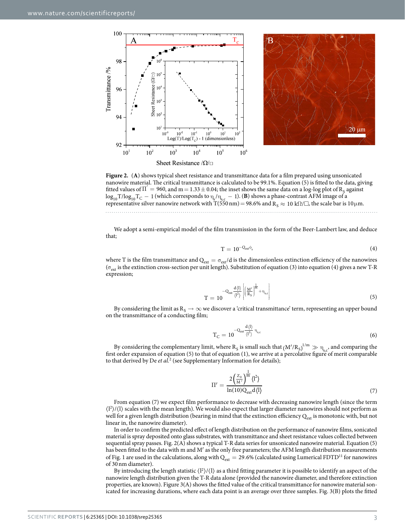



<span id="page-3-0"></span>**Figure 2.** (A) shows typical sheet resistance and transmittance data for a film prepared using unsonicated nanowire material. he critical transmittance is calculated to be 99.1%. Equation (5) is itted to the data, giving fitted values of  $\Pi' = 960$ , and  $m = 1.33 \pm 0.04$ ; the inset shows the same data on a log-log plot of R<sub>S</sub> against  $\log_{10} T / \log_{10} T_C = 1$  (which corresponds to  $\eta_s / \eta_{s,c} = 1$ ). (**B**) shows a phase-contrast AFM image of a representative silver nanowire network with T(550 nm) = 98.6% and  $R_S \approx 10$  k $\Omega/\square$ , the scale bar is  $10\,\mu$ m.

We adopt a semi-empirical model of the ilm transmission in the form of the Beer-Lambert law, and deduce that;

$$
T = 10^{-Q_{\rm ext}\phi_{\rm s}}\tag{4}
$$

where T is the film transmittance and  $Q_{ext} = \sigma_{ext}/d$  is the dimensionless extinction efficiency of the nanowires ( $\sigma_{ext}$  is the extinction cross-section per unit length). Substitution of equation (3) into equation (4) gives a new T-R expression;

$$
T = 10^{-Q_{\text{ext}} \frac{d\langle l \rangle}{\langle l^2 \rangle} \left| \left( \frac{M'}{R_S} \right)^{\frac{1}{m}} + \eta_{sc} \right| \tag{5}
$$

By considering the limit as  $R_S \to \infty$  we discover a 'critical transmittance' term, representing an upper bound on the transmittance of a conducting film;

$$
T_C = 10^{-Q_{ext} \frac{d\langle l \rangle}{\langle l^2 \rangle} \eta_{s,c}}
$$
(6)

By considering the complementary limit, where R<sub>S</sub> is small such that  $(M'/R_s)^{1/m} \gg \eta_{s,c}$ , and comparing the first order expansion of equation (5) to that of equation (1), we arrive at a percolative figure of merit comparable to that derived by De et  $al.2$  $al.2$  (see Supplementary Information for details);

$$
\Pi' = \frac{2\left(\frac{Z_0}{M'}\right)^{\frac{1}{m}} \langle l^2 \rangle}{\ln(10) Q_{\text{ext}} d \langle l \rangle} \tag{7}
$$

From equation (7) we expect ilm performance to decrease with decreasing nanowire length (since the term  $\langle$ <sup>12</sup> $\rangle$ / $\langle$ 1 $\rangle$  scales with the mean length). We would also expect that larger diameter nanowires should not perform as well for a given length distribution (bearing in mind that the extinction efficiency  $Q_{ext}$  is monotonic with, but not linear in, the nanowire diameter).

In order to conirm the predicted efect of length distribution on the performance of nanowire ilms, sonicated material is spray deposited onto glass substrates, with transmittance and sheet resistance values collected between sequential spray passes. [Fig. 2\(A\)](#page-2-0) shows a typical T-R data series for unsonicated nanowire material. Equation (5) has been fitted to the data with m and M' as the only free parameters; the AFM length distribution measurements of [Fig. 1](#page-1-0) are used in the calculations, along with  $Q_{ext} = 29.6\%$  (calculated using Lumerical FDTD<sup>[11](#page-5-7)</sup> for nanowires of 30 nm diameter).

By introducing the length statistic  $\langle l^2 \rangle / \langle l \rangle$  as a third fitting parameter it is possible to identify an aspect of the nanowire length distribution given the T-R data alone (provided the nanowire diameter, and therefore extinction properties, are known). Figure  $3(A)$  shows the fitted value of the critical transmittance for nanowire material sonicated for increasing durations, where each data point is an average over three samples. [Fig. 3\(B\)](#page-3-0) plots the itted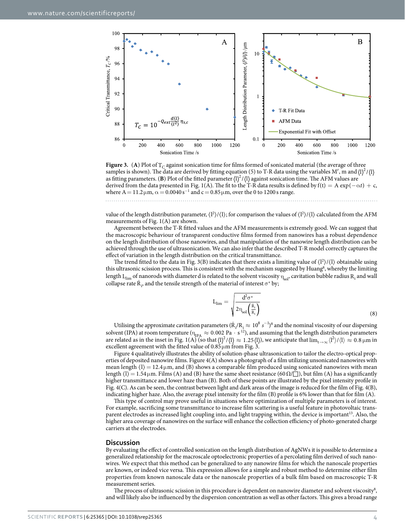

**Figure 3.** (A) Plot of  $T_c$  against sonication time for films formed of sonicated material (the average of three samples is shown). The data are derived by fitting equation (5) to T-R data using the variables M', m and (1)<sup>2</sup>/(1 as fitting parameters. (B) Plot of the fitted parameter  $\langle 1 \rangle^2 / \langle 1 \rangle$  against sonication time. The AFM values are derived from the data presented in [Fig. 1\(A\)](#page-1-0). The fit to the T-R data results is defined by  $f(t) = A \exp(-\alpha t) + c$ , where  $A = 11.2 \mu m$ ,  $\alpha = 0.0040 s^{-1}$  and  $c = 0.85 \mu m$ , over the 0 to 1200 s range.

value of the length distribution parameter,  $\langle l^2 \rangle / \langle l \rangle$ ; for comparison the values of  $\langle l^2 \rangle / \langle l \rangle$  calculated from the AFM measurements of [Fig. 1\(A\)](#page-1-0) are shown.

Agreement between the T-R itted values and the AFM measurements is extremely good. We can suggest that the macroscopic behaviour of transparent conductive films formed from nanowires has a robust dependence on the length distribution of those nanowires, and that manipulation of the nanowire length distribution can be achieved through the use of ultrasonication. We can also infer that the described T-R model correctly captures the efect of variation in the length distribution on the critical transmittance.

<span id="page-4-0"></span>The trend fitted to the data in [Fig. 3\(B\)](#page-3-0) indicates that there exists a limiting value of  $\langle 1^2 \rangle / \langle 1 \rangle$  obtainable using this ultrasonic scission process. This is consistent with the mechanism suggested by Huang<sup>[8](#page-5-3)</sup>, whereby the limiting length  $L_{\text{lim}}$  of nanorods with diameter d is related to the solvent viscosity  $\eta_{\text{sol}}$ , cavitation bubble radius  $R_i$  and wall collapse rate  $\dot{R}_i$  and the tensile strength of the material of interest  $\sigma^*$  by;

$$
L_{\lim} = \sqrt{\frac{d^2 \sigma^*}{2\eta_{sol}\left(\frac{\dot{R}_i}{R_i}\right)}}
$$
\n(8)

Utilising the approximate cavitation parameters ( $\dot{R}_i/R_i \approx 10^8 s^{-1}$  $\dot{R}_i/R_i \approx 10^8 s^{-1}$  $\dot{R}_i/R_i \approx 10^8 s^{-1}$ )<sup>8</sup> and the nominal viscosity of our dispersing solvent (IPA) at room temperature ( $\eta_{\text{IPA}} \approx 0.002 \text{ Pa} \cdot \text{s}^{12}$  $\eta_{\text{IPA}} \approx 0.002 \text{ Pa} \cdot \text{s}^{12}$  $\eta_{\text{IPA}} \approx 0.002 \text{ Pa} \cdot \text{s}^{12}$ ), and assuming that the length distribution parameters are related as in the inset in [Fig. 1\(A\)](#page-1-0) (so that  $\langle 1 \rangle^2 / \langle 1 \rangle \approx 1.25 \langle 1 \rangle$ ), we anticipate that  $\lim_{t \to \infty} \langle 1^2 \rangle / \langle 1 \rangle \approx 0.8 \mu m$  in excellent agreement with the fitted value of  $0.85 \mu m$  from [Fig. 3.](#page-3-0)

[Figure 4](#page-4-0) qualitatively illustrates the ability of solution-phase ultrasonication to tailor the electro-optical properties of deposited nanowire ilms. [Figure 4\(A\)](#page-4-0) shows a photograph of a ilm utilizing unsonicated nanowires with mean length  $\langle l \rangle = 12.4 \,\mu$ m, and  $\langle B \rangle$  shows a comparable film produced using sonicated nanowires with mean length  $\langle l \rangle = 1.54 \mu m$ . Films (A) and (B) have the same sheet resistance (60  $\Omega/\square$ ), but film (A) has a significantly higher transmittance and lower haze than (B). Both of these points are illustrated by the pixel intensity profile in [Fig. 4\(C\).](#page-4-0) As can be seen, the contrast between light and dark areas of the image is reduced for the film of [Fig. 4\(B\),](#page-4-0) indicating higher haze. Also, the average pixel intensity for the film (B) profile is 6% lower than that for film (A).

his type of control may prove useful in situations where optimization of multiple parameters is of interest. For example, sacriicing some transmittance to increase ilm scattering is a useful feature in photovoltaic trans-parent electrodes as increased light coupling into, and light trapping within, the device is important<sup>[13](#page-5-9)</sup>. Also, the higher area coverage of nanowires on the surface will enhance the collection efficiency of photo-generated charge carriers at the electrodes.

#### **Discussion**

By evaluating the efect of controlled sonication on the length distribution of AgNWs it is possible to determine a generalized relationship for the macroscale optoelectronic properties of a percolating ilm derived of such nanowires. We expect that this method can be generalized to any nanowire ilms for which the nanoscale properties are known, or indeed vice versa. This expression allows for a simple and robust method to determine either film properties from known nanoscale data or the nanoscale properties of a bulk ilm based on macroscopic T-R measurement series.

The process of ultrasonic scission in this procedure is dependent on nanowire diameter and solvent viscosity<sup>[8](#page-5-3)</sup>, and will likely also be influenced by the dispersion concentration as well as other factors. This gives a broad range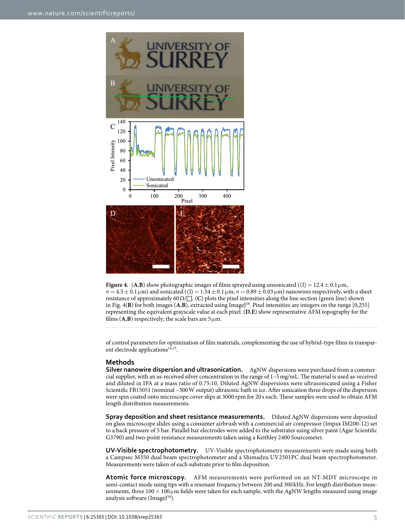<span id="page-5-5"></span><span id="page-5-4"></span><span id="page-5-3"></span><span id="page-5-2"></span><span id="page-5-1"></span><span id="page-5-0"></span>

<span id="page-5-12"></span><span id="page-5-11"></span><span id="page-5-10"></span><span id="page-5-9"></span><span id="page-5-8"></span><span id="page-5-7"></span><span id="page-5-6"></span>**Figure 4.** (A,B) show photographic images of films sprayed using unsonicated ( $\langle 1 \rangle = 12.4 \pm 0.1 \,\mu$ m,  $\sigma = 4.5 \pm 0.1 \,\mu$ m) and sonicated  $(\langle 1 \rangle = 1.54 \pm 0.1 \,\mu$ m,  $\sigma = 0.89 \pm 0.03 \,\mu$ m) nanowires respectively, with a sheet resistance of approximately 60 Ω/□ . (**C**) plots the pixel intensities along the line section (green line) shown in Fig.  $4(B)$  for both images (A,B), extracted using ImageJ<sup>[16](#page-5-12)</sup>. Pixel intensities are integers on the range [0,255] representing the equivalent grayscale value at each pixel. (**D**,**E**) show representative AFM topography for the films  $(A,B)$  respectively; the scale bars are  $5 \mu m$ .

of control parameters for optimization of ilm materials, complementing the use of hybrid-type ilms in transpar-ent electrode applications<sup>[14,](#page-5-10)[15](#page-5-11)</sup>.

#### **Methods**

**silver nanowire dispersion and ultrasonication.** AgNW dispersions were purchased from a commercial supplier, with an as-received silver concentration in the range of 1–5 mg/mL. he material is used as-received and diluted in IPA at a mass ratio of 0.75:10. Diluted AgNW dispersions were ultrasonicated using a Fisher Scientific FB15051 (nominal ~300 W output) ultrasonic bath in ice. After sonication three drops of the dispersion were spin coated onto microscope cover slips at 3000 rpm for 20 s each. These samples were used to obtain AFM length distribution measurements.

**Spray deposition and sheet resistance measurements.** Diluted AgNW dispersions were deposited on glass microscope slides using a consumer airbrush with a commercial air compressor (Impax IM200-12) set to a back pressure of 5 bar. Parallel bar electrodes were added to the substrates using silver paint (Agar Scientiic G3790) and two-point resistance measurements taken using a Keithley 2400 Sourcemeter.

**UV-Visible spectrophotometry.** UV-Visible spectrophotometry measurements were made using both a Campsec M350 dual beam spectrophotometer and a Shimadzu UV2501PC dual beam spectrophotometer. Measurements were taken of each substrate prior to film deposition.

**Atomic force microscopy.** AFM measurements were performed on an NT-MDT microscope in semi-contact mode using tips with a resonant frequency between 200 and 300 kHz. For length distribution measurements, three  $100 \times 100 \mu m$  fields were taken for each sample, with the AgNW lengths measured using image analysis software (ImageJ<sup>[16](#page-5-12)</sup>).